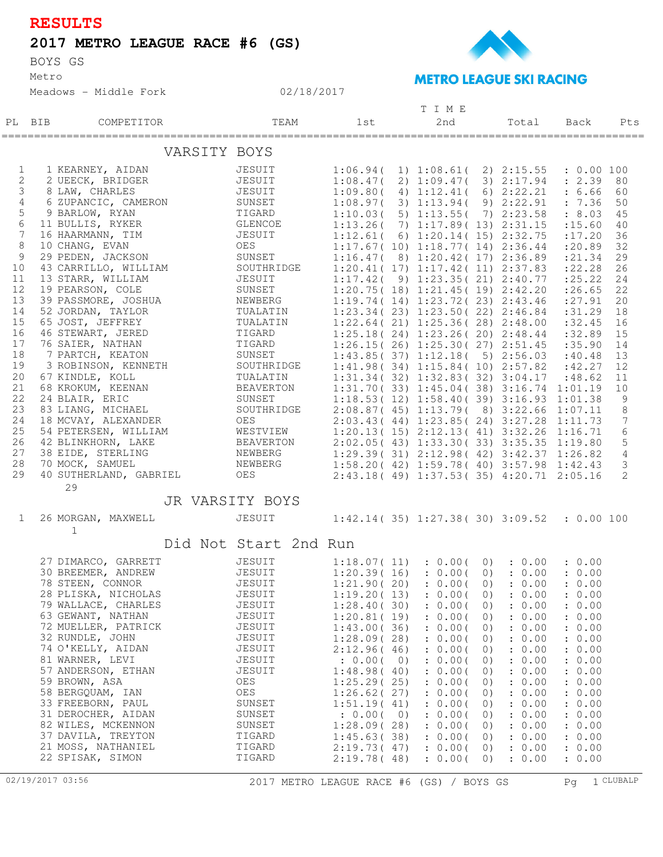## **RESULTS**

## **2017 METRO LEAGUE RACE #6 (GS)**

BOYS GS

Metro

Meadows - Middle Fork



## **METRO LEAGUE SKI RACING**

|                |        |                                          |                       | TIME                     |  |                                                                                   |          |                  |                    |                |
|----------------|--------|------------------------------------------|-----------------------|--------------------------|--|-----------------------------------------------------------------------------------|----------|------------------|--------------------|----------------|
|                | PL BIB | COMPETITOR                               | TEAM                  | 1st                      |  | 2nd                                                                               |          | Total            | Back               | Pts            |
|                |        | VARSITY BOYS                             |                       |                          |  |                                                                                   |          |                  |                    |                |
| 1              |        | 1 KEARNEY, AIDAN                         | JESUIT                | 1:06.94(                 |  | 1) 1:08.61( 2) 2:15.55                                                            |          |                  | : 0.00 100         |                |
| 2              |        | 2 UEECK, BRIDGER                         | JESUIT                |                          |  | 1:08.47(2)1:09.47(3)2:17.94                                                       |          |                  | : 2.39             | 80             |
| 3              |        | 8 LAW, CHARLES                           | JESUIT                | 1:09.80(                 |  | 4) 1:12.41 (6) 2:22.21                                                            |          |                  | : 6.66             | 60             |
| 4              |        | 6 ZUPANCIC, CAMERON                      | SUNSET                |                          |  | 1:08.97(3) 1:13.94(                                                               |          | 9) 2:22.91       | : 7.36             | 50             |
| 5              |        | 9 BARLOW, RYAN                           | TIGARD                | 1:10.03(                 |  | $5)$ 1:13.55(                                                                     |          | 7) 2:23.58       | : 8.03             | 45             |
| $\epsilon$     |        | 11 BULLIS, RYKER                         | GLENCOE               |                          |  | 1:13.26(7) 1:17.89(13) 2:31.15                                                    |          |                  | : 15.60            | 40             |
| $\overline{7}$ |        | 16 HAARMANN, TIM                         | <b>JESUIT</b>         |                          |  | 1:12.61(6) 1:20.14(15) 2:32.75                                                    |          |                  | : 17.20            | 36             |
| 8<br>9         |        | 10 CHANG, EVAN<br>29 PEDEN, JACKSON      | OES<br>SUNSET         |                          |  | 1:17.67(10) 1:18.77(14) 2:36.44                                                   |          |                  | : 20.89            | 32             |
| 10             |        | 43 CARRILLO, WILLIAM                     | SOUTHRIDGE            |                          |  | 1:16.47(8) 1:20.42(17) 2:36.89<br>1:20.41(17) 1:17.42(11) 2:37.83                 |          |                  | : 21.34<br>: 22.28 | 29<br>26       |
| 11             |        | 13 STARR, WILLIAM                        | JESUIT                |                          |  | 1:17.42(9) 1:23.35(21) 2:40.77                                                    |          |                  | : 25.22            | 24             |
| 12             |        | 19 PEARSON, COLE                         | SUNSET                |                          |  | 1:20.75(18) 1:21.45(19) 2:42.20                                                   |          |                  | : 26.65            | 22             |
| 13             |        | 39 PASSMORE, JOSHUA                      | NEWBERG               |                          |  | 1:19.74(14)1:23.72(23)2:43.46                                                     |          |                  | : 27.91            | 20             |
| 14             |        | 52 JORDAN, TAYLOR                        | TUALATIN              |                          |  | $1:23.34(23)$ $1:23.50(22)$ $2:46.84$                                             |          |                  | :31.29             | 18             |
| 15             |        | 65 JOST, JEFFREY                         | TUALATIN              |                          |  | $1:22.64(21)$ $1:25.36(28)$ $2:48.00$                                             |          |                  | :32.45             | 16             |
| 16             |        | 46 STEWART, JERED                        | TIGARD                |                          |  | $1:25.18(24)$ $1:23.26(20)$ $2:48.44$                                             |          |                  | :32.89             | 15             |
| 17             |        | 76 SAIER, NATHAN                         | TIGARD                |                          |  | $1:26.15(26)$ $1:25.30(27)$ $2:51.45$                                             |          |                  | :35.90             | 14             |
| 18             |        | 7 PARTCH, KEATON                         | SUNSET                |                          |  | 1:43.85(37) 1:12.18(5) 2:56.03                                                    |          |                  | :40.48             | 13             |
| 19             |        | 3 ROBINSON, KENNETH                      | SOUTHRIDGE            |                          |  | 1:41.98(34)1:15.84(10)2:57.82                                                     |          |                  | :42.27             | 12             |
| 20             |        | 67 KINDLE, KOLL                          | TUALATIN              |                          |  | 1:31.34(32) 1:32.83(32) 3:04.17                                                   |          |                  | :48.62             | 11             |
| 21             |        | 68 KROKUM, KEENAN                        | BEAVERTON             |                          |  | $1:31.70(33)$ $1:45.04(38)$ $3:16.74$ $1:01.19$                                   |          |                  |                    | 10             |
| 22<br>23       |        | 24 BLAIR, ERIC                           | SUNSET<br>SOUTHRIDGE  |                          |  | $1:18.53(12) 1:58.40(39) 3:16.93 1:01.38$                                         |          |                  |                    | 9              |
| 24             |        | 83 LIANG, MICHAEL<br>18 MCVAY, ALEXANDER | OES                   |                          |  | 2:08.87(45) 1:13.79(8) 3:22.66 1:07.11<br>2:03.43(44) 1:23.85(24) 3:27.28 1:11.73 |          |                  |                    | 8<br>7         |
| 25             |        | 54 PETERSEN, WILLIAM                     | WESTVIEW              |                          |  | $1:20.13(15) 2:12.13(41) 3:32.26 1:16.71$                                         |          |                  |                    | 6              |
| 26             |        | 42 BLINKHORN, LAKE                       | BEAVERTON             |                          |  | 2:02.05 (43) 1:33.30 (33) 3:35.35 1:19.80                                         |          |                  |                    | 5              |
| 27             |        | 38 EIDE, STERLING                        | NEWBERG               |                          |  | $1:29.39(31)$ $2:12.98(42)$ $3:42.37$ $1:26.82$                                   |          |                  |                    | 4              |
| 28             |        | 70 MOCK, SAMUEL                          | NEWBERG               |                          |  | $1:58.20(42)$ $1:59.78(40)$ $3:57.98$ $1:42.43$                                   |          |                  |                    | $\mathcal{S}$  |
| 29             |        | 40 SUTHERLAND, GABRIEL                   | OES                   |                          |  | 2:43.18 (49) 1:37.53 (35) 4:20.71 2:05.16                                         |          |                  |                    | $\mathfrak{L}$ |
|                |        | 29                                       |                       |                          |  |                                                                                   |          |                  |                    |                |
|                |        | JR VARSITY BOYS                          |                       |                          |  |                                                                                   |          |                  |                    |                |
| 1              |        | 26 MORGAN, MAXWELL<br>$\mathbf 1$        | JESUIT                |                          |  | $1:42.14(35)$ $1:27.38(30)$ $3:09.52$ : 0.00 100                                  |          |                  |                    |                |
|                |        |                                          | Did Not Start 2nd Run |                          |  |                                                                                   |          |                  |                    |                |
|                |        | 27 DIMARCO, GARRETT                      | JESUIT                |                          |  | $1:18.07(11)$ : 0.00(                                                             |          | $0)$ : $0.00$    | : 0.00             |                |
|                |        | 30 BREEMER, ANDREW                       | JESUIT                | 1:20.39(16)              |  | : 0.00(                                                                           |          | $0)$ : $0.00$    | : 0.00             |                |
|                |        | 78 STEEN, CONNOR                         | JESUIT                |                          |  | $1:21.90(20)$ : 0.00(                                                             | (0)      | : 0.00           | : 0.00             |                |
|                |        | 28 PLISKA, NICHOLAS                      | JESUIT                | 1:19.20(13)              |  | : 0.00(                                                                           | 0)       | : 0.00           | : 0.00             |                |
|                |        | 79 WALLACE, CHARLES                      | JESUIT                | 1:28.40(30)              |  | : 0.00(                                                                           | 0)       | : 0.00           | : 0.00             |                |
|                |        | 63 GEWANT, NATHAN                        | JESUIT                | 1:20.81(19)              |  | : 0.00(                                                                           | 0)       | : 0.00           | : 0.00             |                |
|                |        | 72 MUELLER, PATRICK                      | JESUIT                | 1:43.00(36)              |  | : 0.00(                                                                           | 0)       | : 0.00           | : 0.00             |                |
|                |        | 32 RUNDLE, JOHN<br>74 O'KELLY, AIDAN     | JESUIT<br>JESUIT      | 1:28.09(28)              |  | : 0.00(<br>: 0.00(                                                                | 0)       | : 0.00           | : 0.00<br>: 0.00   |                |
|                |        | 81 WARNER, LEVI                          | JESUIT                | 2:12.96(46)<br>: 0.00(0) |  | : 0.00(                                                                           | 0)<br>0) | : 0.00<br>: 0.00 | : 0.00             |                |
|                |        | 57 ANDERSON, ETHAN                       | JESUIT                | 1:48.98(40)              |  | : 0.00(                                                                           | 0)       | : 0.00           | : 0.00             |                |
|                |        | 59 BROWN, ASA                            | OES                   | 1:25.29(25)              |  | : 0.00(                                                                           | 0)       | : 0.00           | : 0.00             |                |
|                |        | 58 BERGQUAM, IAN                         | OES                   | 1:26.62(27)              |  | : 0.00(                                                                           | 0)       | : 0.00           | : 0.00             |                |
|                |        | 33 FREEBORN, PAUL                        | SUNSET                | 1:51.19(41)              |  | : 0.00(                                                                           | 0)       | : 0.00           | : 0.00             |                |
|                |        | 31 DEROCHER, AIDAN                       | SUNSET                | : 0.00(0)                |  | : 0.00(                                                                           | 0)       | : 0.00           | : 0.00             |                |
|                |        | 82 WILES, MCKENNON                       | SUNSET                | 1:28.09(28)              |  | : 0.00(                                                                           | 0)       | : 0.00           | : 0.00             |                |
|                |        | 37 DAVILA, TREYTON                       | TIGARD                | 1:45.63(38)              |  | : 0.00(                                                                           | 0)       | : 0.00           | : 0.00             |                |
|                |        | 21 MOSS, NATHANIEL                       | TIGARD                | 2:19.73(47)              |  | : 0.00(                                                                           | 0)       | : 0.00           | : 0.00             |                |
|                |        | 22 SPISAK, SIMON                         | TIGARD                | 2:19.78(48)              |  | : 0.00(                                                                           | 0)       | : 0.00           | : 0.00             |                |

02/18/2017

02/19/2017 03:56 2017 METRO LEAGUE RACE #6 (GS) / BOYS GS Pg 1 CLUBALP